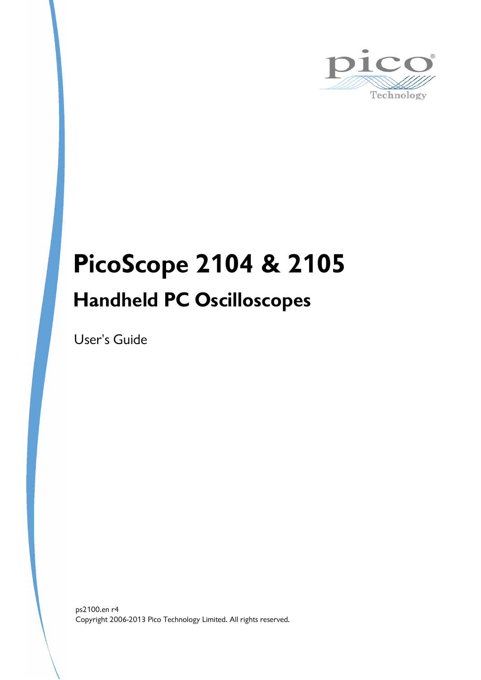

# **PicoScope 2104 & 2105 Handheld PC Oscilloscopes**

User's Guide

Copyright 2006-2013 Pico Technology Limited. All rights reserved. ps2100.en r4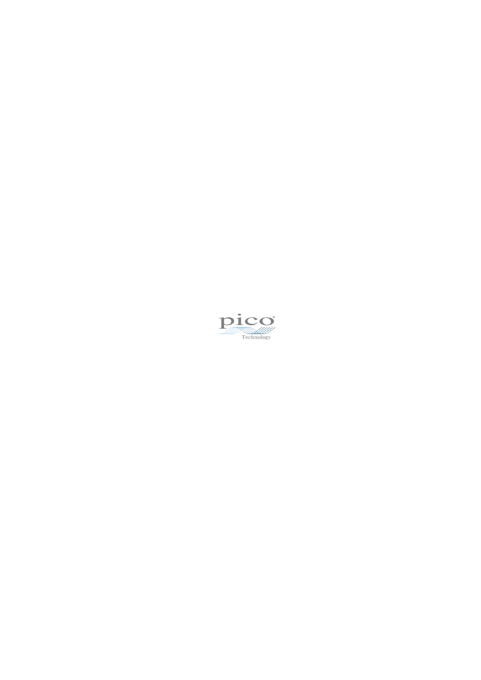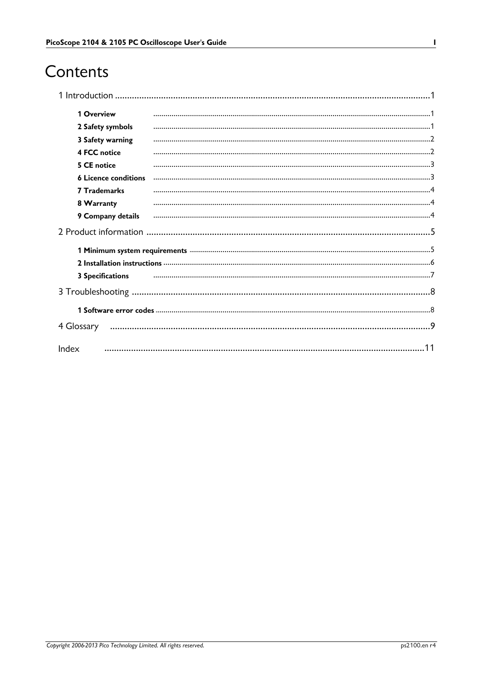# Contents

| 1 Overview                  |    |
|-----------------------------|----|
| 2 Safety symbols            |    |
| 3 Safety warning            |    |
| <b>4 FCC notice</b>         |    |
| 5 CE notice                 |    |
| <b>6 Licence conditions</b> |    |
| <b>7 Trademarks</b>         |    |
| 8 Warranty                  |    |
| 9 Company details           |    |
|                             |    |
|                             |    |
|                             |    |
| <b>3 Specifications</b>     |    |
|                             |    |
|                             |    |
| 4 Glossary                  |    |
| Index                       | 11 |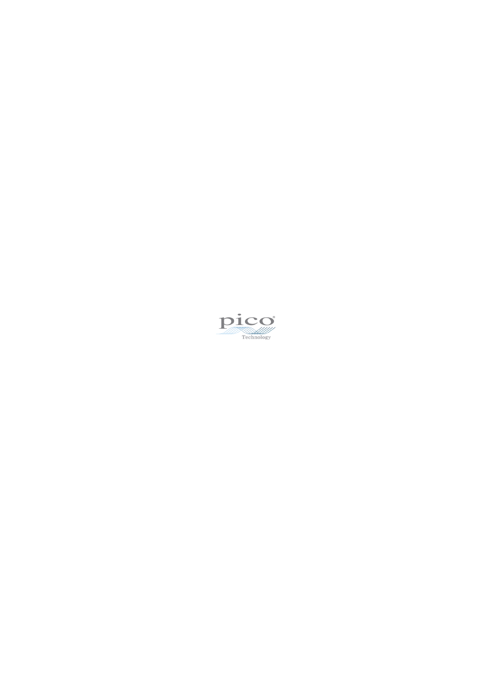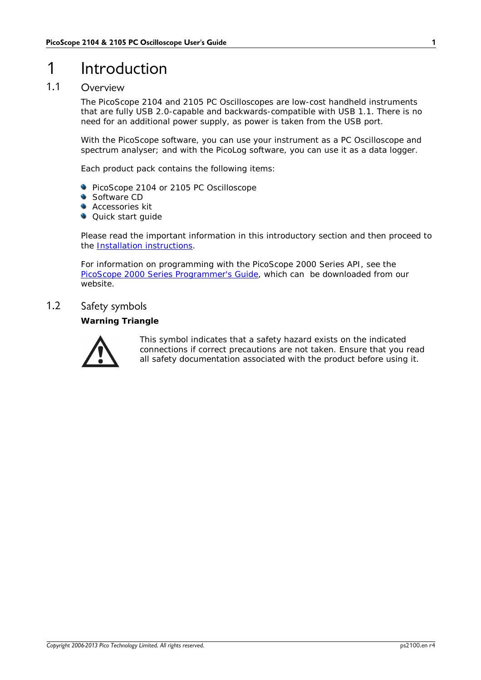# <span id="page-4-0"></span>1 Introduction

### 1.1 Overview

The PicoScope 2104 and 2105 PC Oscilloscopes are low-cost handheld instruments that are fully USB 2.0-capable and backwards-compatible with USB 1.1.There is no need for an additional power supply, as power is taken from the USB port.

With the PicoScope software, you can use your instrument as a PC Oscilloscope and spectrum analyser; and with the PicoLog software, you can use it as a data logger.

Each product pack contains the following items:

- **PicoScope 2104 or 2105 PC Oscilloscope**
- Software CD
- **Accessories kit**
- **Quick start quide**

Please read the important information in this introductory section and then proceed to the Installation [instructions](#page-9-0).

For information on programming with the PicoScope 2000 Series API, see the PicoScope 2000 Series Programmer's Guide, which can be downloaded from our website.

### <span id="page-4-1"></span>1.2 Safety symbols

**Warning Triangle**



This symbol indicates that a safety hazard exists on the indicated connections if correct precautions are not taken. Ensure that you read all safety documentation associated with the product before using it.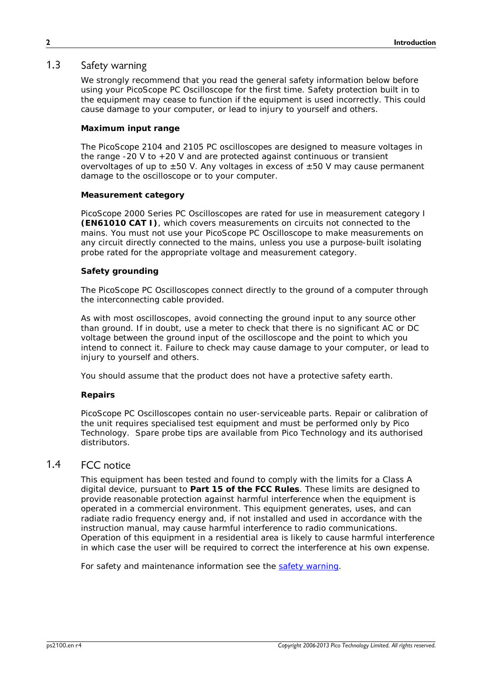### <span id="page-5-0"></span>1.3 Safety warning

We strongly recommend that you read the general safety information below before using your PicoScope PC Oscilloscope for the first time. Safety protection built in to the equipment may cease to function if the equipment is used incorrectly. This could cause damage to your computer, or lead to injury to yourself and others.

#### **Maximum input range**

The PicoScope 2104 and 2105 PC oscilloscopes are designed to measure voltages in the range -20 V to +20 V and are protected against continuous or transient overvoltages of up to  $\pm 50$  V. Any voltages in excess of  $\pm 50$  V may cause permanent damage to the oscilloscope or to your computer.

#### **Measurement category**

PicoScope 2000 Series PC Oscilloscopes are rated for use in measurement category I **(EN61010 CAT I)**, which covers measurements on circuits not connected to the mains. You must not use your PicoScope PC Oscilloscope to make measurements on any circuit directly connected to the mains, unless you use a purpose-built isolating probe rated for the appropriate voltage and measurement category.

#### **Safety grounding**

The PicoScope PC Oscilloscopes connect directly to the ground of a computer through the interconnecting cable provided.

As with most oscilloscopes, avoid connecting the ground input to any source other than ground. If in doubt, use a meter to check that there is no significant AC or DC voltage between the ground input of the oscilloscope and the point to which you intend to connect it. Failure to check may cause damage to your computer, or lead to injury to yourself and others.

You should assume that the product does not have a protective safety earth.

#### **Repairs**

PicoScope PC Oscilloscopes contain no user-serviceable parts. Repair or calibration of the unit requires specialised test equipment and must be performed only by Pico Technology. Spare probe tips are available from Pico Technology and its authorised distributors.

### <span id="page-5-1"></span>1.4 FCC notice

This equipment has been tested and found to comply with the limits for a Class A digital device, pursuant to **Part 15 of the FCC Rules**. These limits are designed to provide reasonable protection against harmful interference when the equipment is operated in a commercial environment. This equipment generates, uses, and can radiate radio frequency energy and, if not installed and used in accordance with the instruction manual, may cause harmful interference to radio communications. Operation of this equipment in a residential area is likely to cause harmful interference in which case the user will be required to correct the interference at his own expense.

For safety and maintenance information see the safety [warning.](#page-5-0)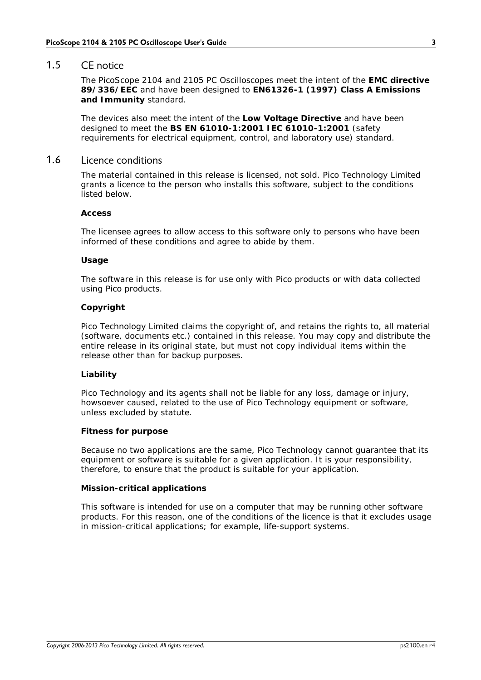### <span id="page-6-0"></span>1.5 CE notice

The PicoScope 2104 and 2105 PC Oscilloscopes meet the intent of the **EMC directive 89/336/EEC** and have been designed to **EN61326-1 (1997) Class A Emissions and Immunity** standard.

The devices also meet the intent of the **Low Voltage Directive** and have been designed to meet the **BS EN 61010-1:2001 IEC 61010-1:2001** (safety requirements for electrical equipment, control, and laboratory use) standard.

### <span id="page-6-1"></span>1.6 Licence conditions

The material contained in this release is licensed, not sold. Pico Technology Limited grants a licence to the person who installs this software, subject to the conditions listed below.

#### **Access**

The licensee agrees to allow access to this software only to persons who have been informed of these conditions and agree to abide by them.

#### **Usage**

The software in this release is for use only with Pico products or with data collected using Pico products.

#### **Copyright**

Pico Technology Limited claims the copyright of, and retains the rights to, all material (software, documents etc.) contained in this release. You may copy and distribute the entire release in its original state, but must not copy individual items within the release other than for backup purposes.

#### **Liability**

Pico Technology and its agents shall not be liable for any loss, damage or injury, howsoever caused, related to the use of Pico Technology equipment or software, unless excluded by statute.

#### **Fitness for purpose**

Because no two applications are the same, Pico Technology cannot guarantee that its equipment or software is suitable for a given application. It is your responsibility, therefore, to ensure that the product is suitable for your application.

#### **Mission-critical applications**

This software is intended for use on a computer that may be running other software products. For this reason, one of the conditions of the licence is that it excludes usage in mission-critical applications; for example, life-support systems.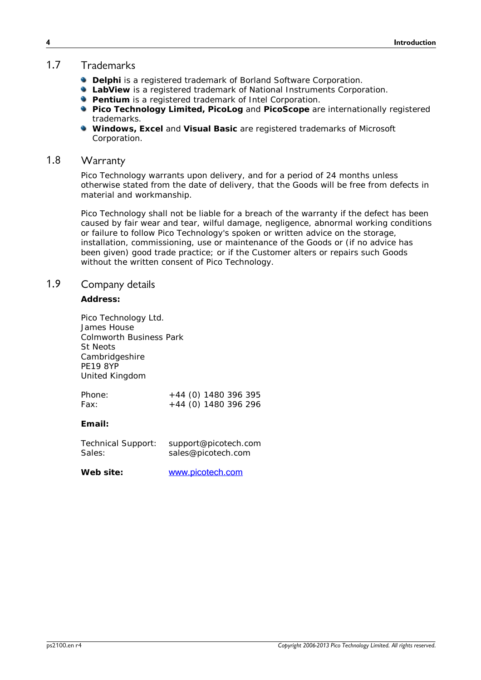### <span id="page-7-0"></span>1.7 Trademarks

- **Delphi** is a registered trademark of Borland Software Corporation.
- **LabView** is a registered trademark of National Instruments Corporation.
- **Pentium** is a registered trademark of Intel Corporation.
- **Pico Technology Limited, PicoLog** and **PicoScope** are internationally registered trademarks.
- **Windows, Excel and Visual Basic are registered trademarks of Microsoft** Corporation.

### <span id="page-7-1"></span>1.8 Warranty

Pico Technology warrants upon delivery, and for a period of 24 months unless otherwise stated from the date of delivery, that the Goods will be free from defects in material and workmanship.

Pico Technology shall not be liable for a breach of the warranty if the defect has been caused by fair wear and tear, wilful damage, negligence, abnormal working conditions or failure to follow Pico Technology's spoken or written advice on the storage, installation, commissioning, use or maintenance of the Goods or (if no advice has been given) good trade practice; or if the Customer alters or repairs such Goods without the written consent of Pico Technology.

### <span id="page-7-2"></span>1.9 Company details

**Address:**

Pico Technology Ltd. James House Colmworth Business Park St Neots Cambridgeshire PE19 8YP United Kingdom

| Phone: | +44 (0) 1480 396 395 |
|--------|----------------------|
| Fax:   | +44 (0) 1480 396 296 |

**Email:**

| <b>Technical Support:</b> | support@picotech.com |
|---------------------------|----------------------|
| Sales:                    | sales@picotech.com   |

**Web site:** [www.picotech.com](http://www.picotech.com)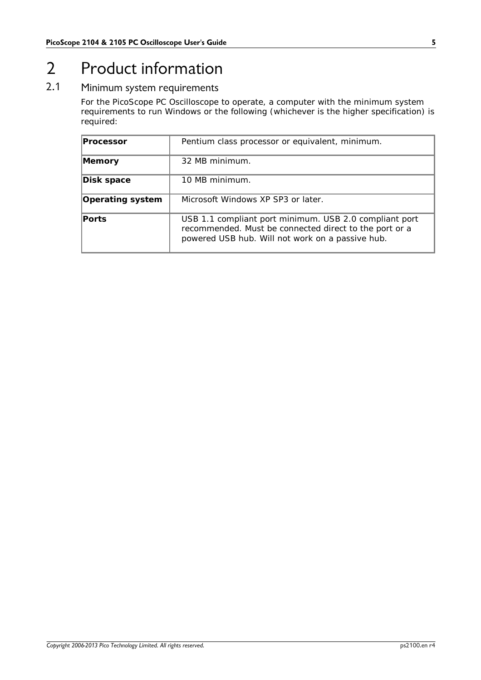# <span id="page-8-0"></span>2 Product information

### 2.1 Minimum system requirements

For the PicoScope PC Oscilloscope to operate, a computer with the minimum system requirements to run Windows or the following (whichever is the higher specification) is required:

| Processor        | Pentium class processor or equivalent, minimum.                                                                                                                      |
|------------------|----------------------------------------------------------------------------------------------------------------------------------------------------------------------|
| Memory           | 32 MB minimum.                                                                                                                                                       |
| Disk space       | 10 MB minimum.                                                                                                                                                       |
| Operating system | Microsoft Windows XP SP3 or later.                                                                                                                                   |
| Ports            | USB 1.1 compliant port minimum. USB 2.0 compliant port<br>recommended. Must be connected direct to the port or a<br>powered USB hub. Will not work on a passive hub. |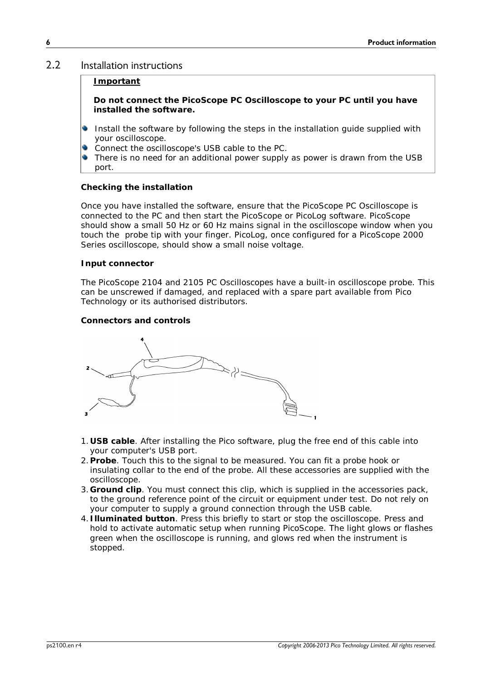### <span id="page-9-0"></span>2.2 Installation instructions

#### **Important**

**Do not connect the PicoScope PC Oscilloscope to your PC until you have installed the software.**

- Install the software by following the steps in the installation guide supplied with your oscilloscope.
- Connect the oscilloscope's USB cable to the PC.
- There is no need for an additional power supply as power is drawn from the USB port.

#### **Checking the installation**

Once you have installed the software, ensure that the PicoScope PC Oscilloscope is connected to the PC and then start the PicoScope or PicoLog software. PicoScope should show a small 50 Hz or 60 Hz mains signal in the oscilloscope window when you touch the probe tip with your finger. PicoLog, once configured for a PicoScope 2000 Series oscilloscope, should show a small noise voltage.

#### **Input connector**

The PicoScope 2104 and 2105 PC Oscilloscopes have a built-in oscilloscope probe. This can be unscrewed if damaged, and replaced with a spare part available from Pico Technology or its authorised distributors.

**Connectors and controls**



- 1.**USB cable**. After installing the Pico software, plug the free end of this cable into your computer's USB port.
- 2.**Probe**. Touch this to the signal to be measured. You can fit a probe hook or insulating collar to the end of the probe. All these accessories are supplied with the oscilloscope.
- 3.**Ground clip**. You must connect this clip, which is supplied in the accessories pack, to the ground reference point of the circuit or equipment under test. Do not rely on your computer to supply a ground connection through the USB cable.
- 4.**Illuminated button**. Press this briefly to start or stop the oscilloscope. Press and hold to activate automatic setup when running PicoScope. The light glows or flashes green when the oscilloscope is running, and glows red when the instrument is stopped.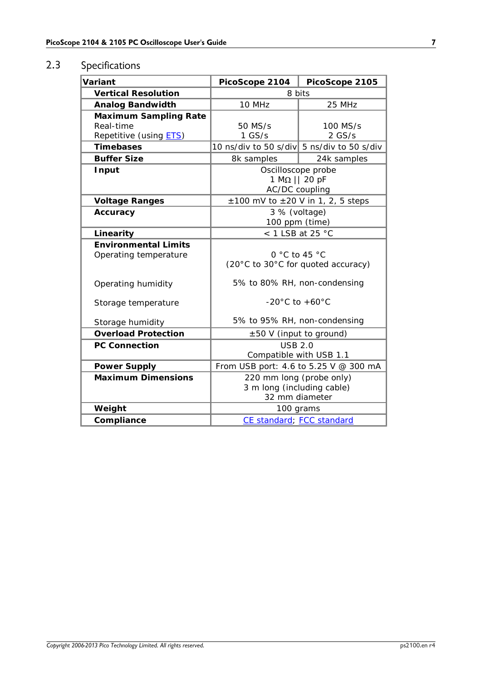### <span id="page-10-0"></span>2.3 Specifications

| Variant                                                             | PicoScope 2104                                                           | PicoScope 2105       |
|---------------------------------------------------------------------|--------------------------------------------------------------------------|----------------------|
| <b>Vertical Resolution</b>                                          | 8 bits                                                                   |                      |
| Analog Bandwidth                                                    | 10 MHz                                                                   | 25 MHz               |
| Maximum Sampling Rate<br>Real-time<br>Repetitive (using <b>ETS)</b> | 50 MS/s<br>$1$ GS/s                                                      | 100 MS/s<br>$2$ GS/s |
| Timebases                                                           | 10 ns/div to 50 s/div 5 ns/div to 50 s/div                               |                      |
| <b>Buffer Size</b>                                                  | 8k samples                                                               | 24k samples          |
| Input                                                               | Oscilloscope probe<br>$1 M\Omega    20 pF$<br>AC/DC coupling             |                      |
| Voltage Ranges                                                      | $\pm 100$ mV to $\pm 20$ V in 1, 2, 5 steps                              |                      |
| Accuracy                                                            | 3 % (voltage)<br>100 ppm (time)                                          |                      |
| Linearity                                                           | $<$ 1 LSB at 25 °C                                                       |                      |
| <b>Environmental Limits</b><br>Operating temperature                | 0 $\degree$ C to 45 $\degree$ C<br>(20°C to 30°C for quoted accuracy)    |                      |
| Operating humidity                                                  | 5% to 80% RH, non-condensing                                             |                      |
| Storage temperature                                                 | $-20^{\circ}$ C to $+60^{\circ}$ C                                       |                      |
| Storage humidity                                                    | 5% to 95% RH, non-condensing                                             |                      |
| <b>Overload Protection</b>                                          | ±50 V (input to ground)                                                  |                      |
| PC Connection                                                       | <b>USB 2.0</b><br>Compatible with USB 1.1                                |                      |
| Power Supply                                                        | From USB port: 4.6 to 5.25 V @ 300 mA                                    |                      |
| <b>Maximum Dimensions</b>                                           | 220 mm long (probe only)<br>3 m long (including cable)<br>32 mm diameter |                      |
| Weight                                                              | 100 grams                                                                |                      |
| Compliance                                                          | CE standard; FCC standard                                                |                      |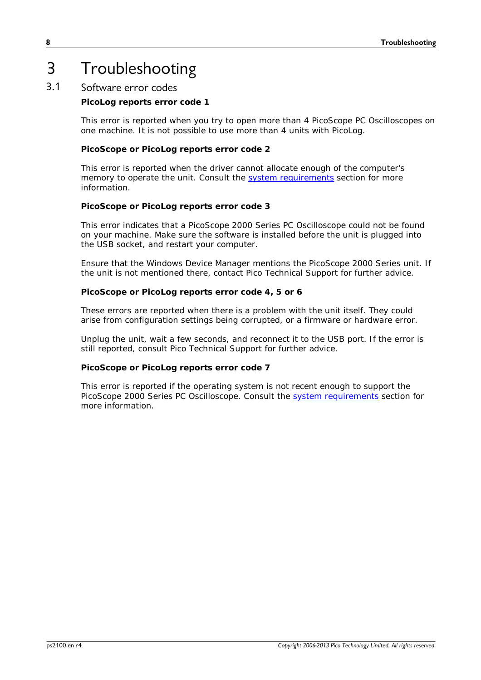# <span id="page-11-0"></span>3 Troubleshooting

### 3.1 Software error codes

**PicoLog reports error code 1**

This error is reported when you try to open more than 4 PicoScope PC Oscilloscopes on one machine. It is not possible to use more than 4 units with PicoLog.

**PicoScope or PicoLog reports error code 2**

This error is reported when the driver cannot allocate enough of the computer's memory to operate the unit. Consult the system [requirements](#page-8-0) section for more information.

**PicoScope or PicoLog reports error code 3**

This error indicates that a PicoScope 2000 Series PC Oscilloscope could not be found on your machine. Make sure the software is installed before the unit is plugged into the USB socket, and restart your computer.

Ensure that the Windows Device Manager mentions the PicoScope 2000 Series unit. If the unit is not mentioned there, contact Pico Technical Support for further advice.

**PicoScope or PicoLog reports error code 4, 5 or 6**

These errors are reported when there is a problem with the unit itself. They could arise from configuration settings being corrupted, or a firmware or hardware error.

Unplug the unit, wait a few seconds, and reconnect it to the USB port. If the error is still reported, consult Pico Technical Support for further advice.

**PicoScope or PicoLog reports error code 7**

This error is reported if the operating system is not recent enough to support the PicoScope 2000 Series PC Oscilloscope. Consult the system [requirements](#page-8-0) section for more information.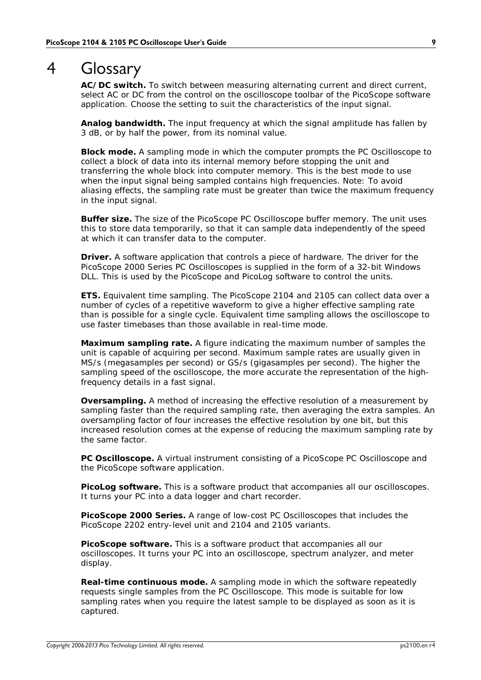# <span id="page-12-0"></span>4 Glossary

**AC/DC switch.** To switch between measuring alternating current and direct current, select AC or DC from the control on the oscilloscope toolbar of the PicoScope software application. Choose the setting to suit the characteristics of the input signal.

**Analog bandwidth.** The input frequency at which the signal amplitude has fallen by 3 dB, or by half the power, from its nominal value.

**Block mode.** A sampling mode in which the computer prompts the PC Oscilloscope to collect a block of data into its internal memory before stopping the unit and transferring the whole block into computer memory. This is the best mode to use when the input signal being sampled contains high frequencies. Note: To avoid aliasing effects, the sampling rate must be greater than twice the maximum frequency in the input signal.

**Buffer size.** The size of the PicoScope PC Oscilloscope buffer memory. The unit uses this to store data temporarily, so that it can sample data independently of the speed at which it can transfer data to the computer.

**Driver.** A software application that controls a piece of hardware. The driver for the PicoScope 2000 Series PC Oscilloscopes is supplied in the form of a 32-bit Windows DLL. This is used by the PicoScope and PicoLog software to control the units.

<span id="page-12-1"></span>**ETS.** Equivalent time sampling. The PicoScope 2104 and 2105 can collect data over a number of cycles of a repetitive waveform to give a higher effective sampling rate than is possible for a single cycle. Equivalent time sampling allows the oscilloscope to use faster timebases than those available in real-time mode.

**Maximum sampling rate.** A figure indicating the maximum number of samples the unit is capable of acquiring per second. Maximum sample rates are usually given in MS/s (megasamples per second) or GS/s (gigasamples per second). The higher the sampling speed of the oscilloscope, the more accurate the representation of the highfrequency details in a fast signal.

**Oversampling.** A method of increasing the effective resolution of a measurement by sampling faster than the required sampling rate, then averaging the extra samples. An oversampling factor of four increases the effective resolution by one bit, but this increased resolution comes at the expense of reducing the maximum sampling rate by the same factor.

**PC Oscilloscope.** A virtual instrument consisting of a PicoScope PC Oscilloscope and the PicoScope software application.

**PicoLog software.** This is a software product that accompanies all our oscilloscopes. It turns your PC into a data logger and chart recorder.

**PicoScope 2000 Series.** A range of low-cost PC Oscilloscopes that includes the PicoScope 2202 entry-level unit and 2104 and 2105 variants.

**PicoScope software.** This is a software product that accompanies all our oscilloscopes. It turns your PC into an oscilloscope, spectrum analyzer, and meter display.

**Real-time continuous mode.** A sampling mode in which the software repeatedly requests single samples from the PC Oscilloscope. This mode is suitable for low sampling rates when you require the latest sample to be displayed as soon as it is captured.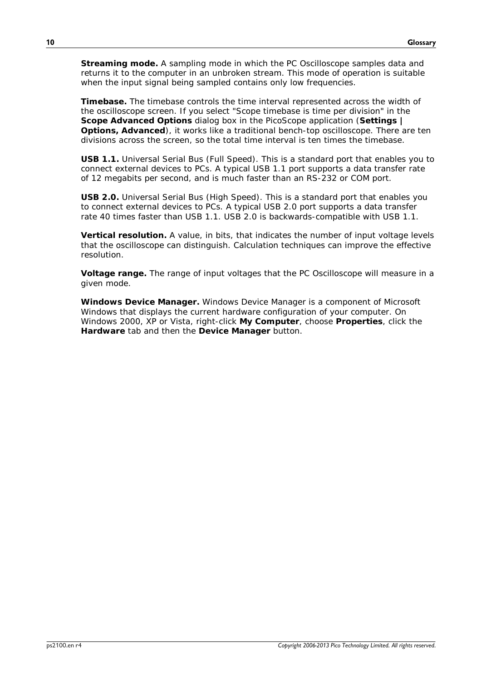**Streaming mode.** A sampling mode in which the PC Oscilloscope samples data and returns it to the computer in an unbroken stream. This mode of operation is suitable when the input signal being sampled contains only low frequencies.

**Timebase.** The timebase controls the time interval represented across the width of the oscilloscope screen. If you select "Scope timebase is time per division" in the **Scope Advanced Options** dialog box in the PicoScope application (**Settings | Options, Advanced**), it works like a traditional bench-top oscilloscope. There are ten divisions across the screen, so the total time interval is ten times the timebase.

**USB 1.1.** Universal Serial Bus (Full Speed). This is a standard port that enables you to connect external devices to PCs. A typical USB 1.1 port supports a data transfer rate of 12 megabits per second, and is much faster than an RS-232 or COM port.

**USB 2.0.** Universal Serial Bus (High Speed). This is a standard port that enables you to connect external devices to PCs. A typical USB 2.0 port supports a data transfer rate 40 times faster than USB 1.1. USB 2.0 is backwards-compatible with USB 1.1.

**Vertical resolution.** A value, in bits, that indicates the number of input voltage levels that the oscilloscope can distinguish. Calculation techniques can improve the effective resolution.

**Voltage range.** The range of input voltages that the PC Oscilloscope will measure in a given mode.

**Windows Device Manager.** Windows Device Manager is a component of Microsoft Windows that displays the current hardware configuration of your computer. On Windows 2000, XP or Vista, right-click My Computer, choose Properties, click the **Hardware** tab and then the **Device Manager** button.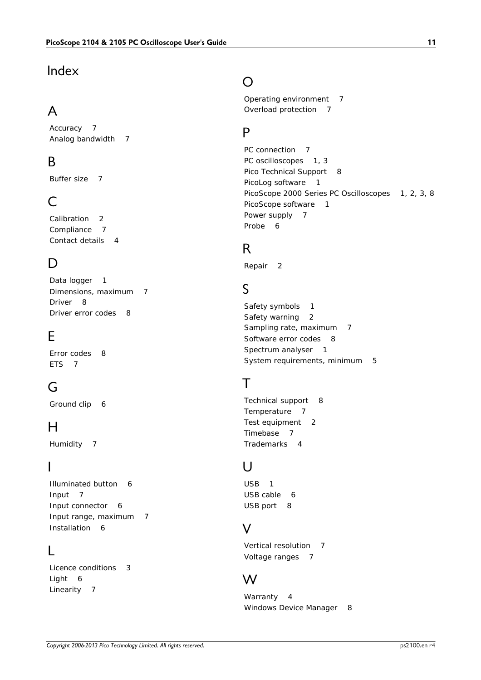### Index

# A

Accuracy 7 Analog bandwidth 7

# B<sub>a</sub>

Buffer size 7

### C

Calibration 2 Compliance 7 Contact details 4

### D<sub>a</sub>

Data logger 1 Dimensions, maximum 7 Driver 8 Driver error codes 8

# E

Error codes 8 ETS 7

# G

Ground clip 6

# H

Humidity 7

### I

Illuminated button 6 Input 7 Input connector 6 Input range, maximum 7 Installation 6

### L

Licence conditions 3 Light 6 Linearity 7

### O

Operating environment 7 Overload protection 7

### P<sub>p</sub>

PC connection 7 PC oscilloscopes 1, 3 Pico Technical Support 8 PicoLog software 1 PicoScope 2000 Series PC Oscilloscopes 1, 2, 3, 8 PicoScope software 1 Power supply 7 Probe 6

### R<sub>a</sub>

Repair 2

### S

Safety symbols 1 Safety warning 2 Sampling rate, maximum 7 Software error codes 8 Spectrum analyser 1 System requirements, minimum 5

# T<sub>a</sub>

Technical support 8 Temperature 7 Test equipment 2 Timebase 7 Trademarks 4

### U<sub>v</sub>

USB 1 USB cable 6 USB port 8

# V

Vertical resolution 7 Voltage ranges 7

# W

Warranty 4 Windows Device Manager 8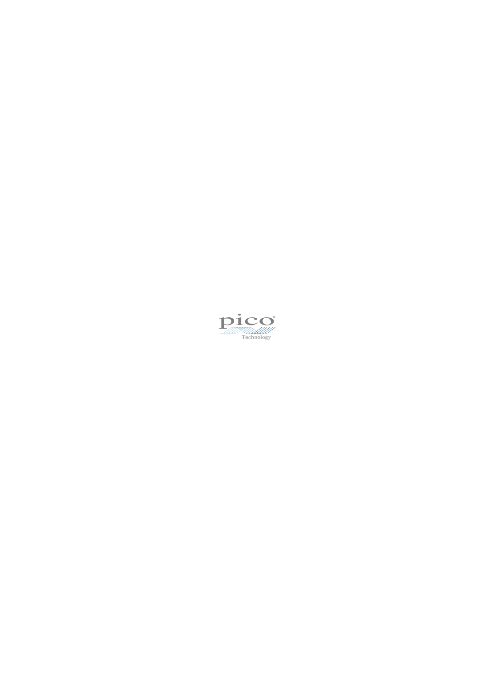